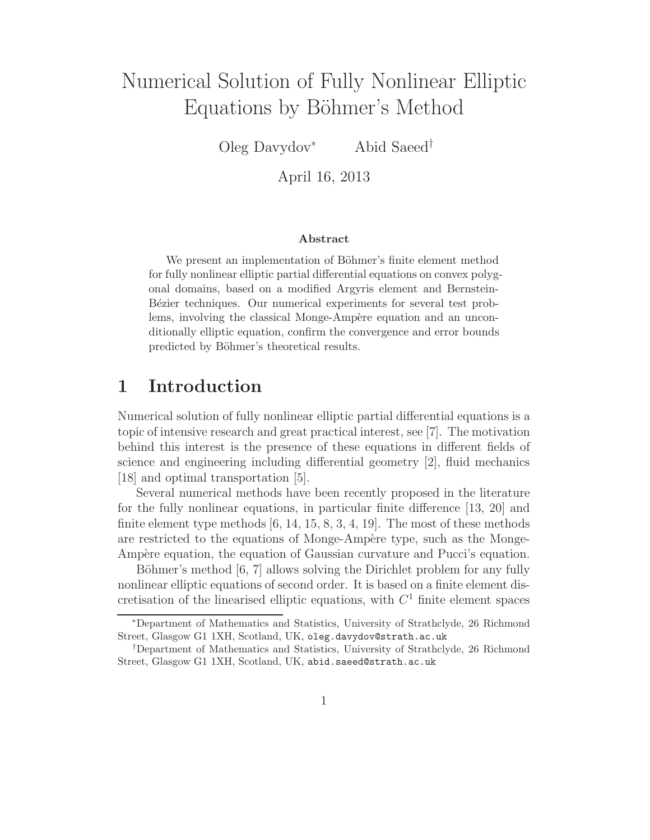# Numerical Solution of Fully Nonlinear Elliptic Equations by Böhmer's Method

Oleg Davydov<sup>∗</sup> Abid Saeed†

April 16, 2013

#### Abstract

We present an implementation of Böhmer's finite element method for fully nonlinear elliptic partial differential equations on convex polygonal domains, based on a modified Argyris element and Bernstein-Bézier techniques. Our numerical experiments for several test problems, involving the classical Monge-Ampère equation and an unconditionally elliptic equation, confirm the convergence and error bounds predicted by Böhmer's theoretical results.

### 1 Introduction

Numerical solution of fully nonlinear elliptic partial differential equations is a topic of intensive research and great practical interest, see [7]. The motivation behind this interest is the presence of these equations in different fields of science and engineering including differential geometry [2], fluid mechanics [18] and optimal transportation [5].

Several numerical methods have been recently proposed in the literature for the fully nonlinear equations, in particular finite difference [13, 20] and finite element type methods  $[6, 14, 15, 8, 3, 4, 19]$ . The most of these methods are restricted to the equations of Monge-Ampère type, such as the Monge-Ampère equation, the equation of Gaussian curvature and Pucci's equation.

Böhmer's method [6, 7] allows solving the Dirichlet problem for any fully nonlinear elliptic equations of second order. It is based on a finite element discretisation of the linearised elliptic equations, with  $C<sup>1</sup>$  finite element spaces

<sup>∗</sup>Department of Mathematics and Statistics, University of Strathclyde, 26 Richmond Street, Glasgow G1 1XH, Scotland, UK, oleg.davydov@strath.ac.uk

<sup>†</sup>Department of Mathematics and Statistics, University of Strathclyde, 26 Richmond Street, Glasgow G1 1XH, Scotland, UK, abid.saeed@strath.ac.uk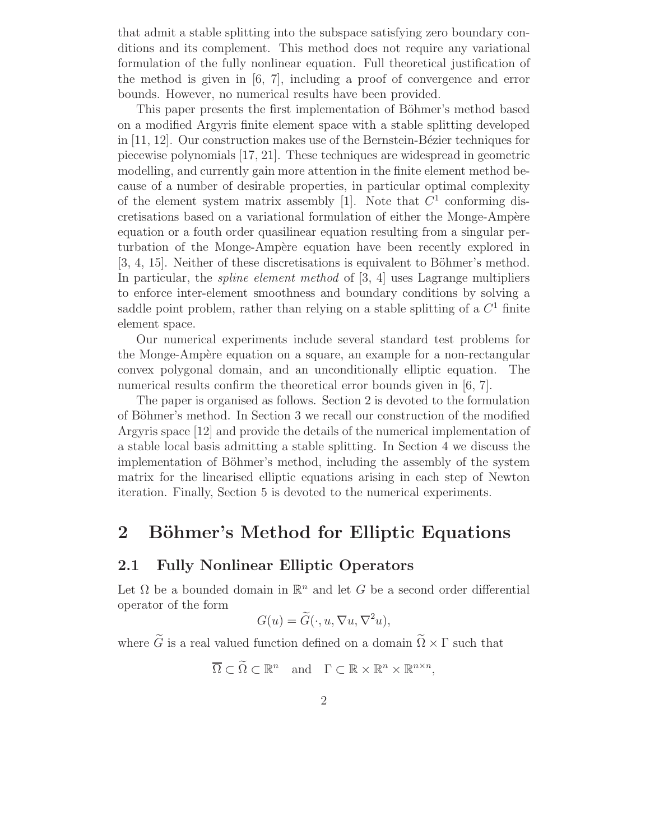that admit a stable splitting into the subspace satisfying zero boundary conditions and its complement. This method does not require any variational formulation of the fully nonlinear equation. Full theoretical justification of the method is given in [6, 7], including a proof of convergence and error bounds. However, no numerical results have been provided.

This paper presents the first implementation of Böhmer's method based on a modified Argyris finite element space with a stable splitting developed in  $[11, 12]$ . Our construction makes use of the Bernstein-Bézier techniques for piecewise polynomials [17, 21]. These techniques are widespread in geometric modelling, and currently gain more attention in the finite element method because of a number of desirable properties, in particular optimal complexity of the element system matrix assembly [1]. Note that  $C<sup>1</sup>$  conforming discretisations based on a variational formulation of either the Monge-Ampère equation or a fouth order quasilinear equation resulting from a singular perturbation of the Monge-Ampère equation have been recently explored in  $[3, 4, 15]$ . Neither of these discretisations is equivalent to Böhmer's method. In particular, the *spline element method* of [3, 4] uses Lagrange multipliers to enforce inter-element smoothness and boundary conditions by solving a saddle point problem, rather than relying on a stable splitting of a  $C<sup>1</sup>$  finite element space.

Our numerical experiments include several standard test problems for the Monge-Ampère equation on a square, an example for a non-rectangular convex polygonal domain, and an unconditionally elliptic equation. The numerical results confirm the theoretical error bounds given in [6, 7].

The paper is organised as follows. Section 2 is devoted to the formulation of Böhmer's method. In Section 3 we recall our construction of the modified Argyris space [12] and provide the details of the numerical implementation of a stable local basis admitting a stable splitting. In Section 4 we discuss the implementation of Böhmer's method, including the assembly of the system matrix for the linearised elliptic equations arising in each step of Newton iteration. Finally, Section 5 is devoted to the numerical experiments.

# 2 Böhmer's Method for Elliptic Equations

### 2.1 Fully Nonlinear Elliptic Operators

Let  $\Omega$  be a bounded domain in  $\mathbb{R}^n$  and let G be a second order differential operator of the form

$$
G(u) = \widetilde{G}(\cdot, u, \nabla u, \nabla^2 u),
$$

where  $\tilde{G}$  is a real valued function defined on a domain  $\tilde{\Omega} \times \Gamma$  such that

$$
\overline{\Omega} \subset \widetilde{\Omega} \subset \mathbb{R}^n \quad \text{and} \quad \Gamma \subset \mathbb{R} \times \mathbb{R}^n \times \mathbb{R}^{n \times n},
$$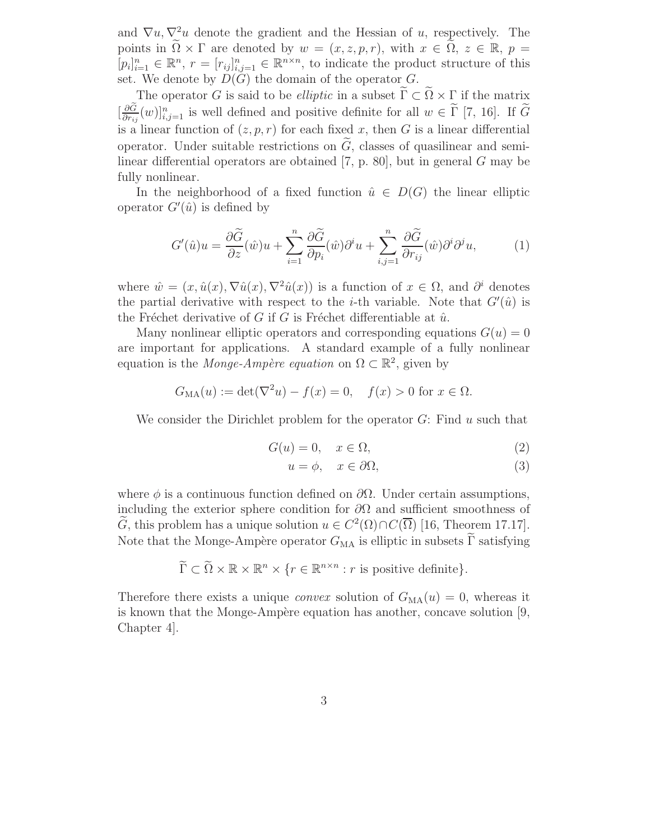and  $\nabla u, \nabla^2 u$  denote the gradient and the Hessian of u, respectively. The points in  $\Omega \times \Gamma$  are denoted by  $w = (x, z, p, r)$ , with  $x \in \Omega$ ,  $z \in \mathbb{R}$ ,  $p =$  $[p_i]_{i=1}^n \in \mathbb{R}^n$ ,  $r = [r_{ij}]_{i,j=1}^n \in \mathbb{R}^{n \times n}$ , to indicate the product structure of this set. We denote by  $D(G)$  the domain of the operator  $G$ .

The operator G is said to be *elliptic* in a subset  $\widetilde{\Gamma} \subset \widetilde{\Omega} \times \Gamma$  if the matrix  $\left[\frac{\partial \widetilde{G}}{\partial r}\right]$  $\frac{\partial G}{\partial r_{ij}}(w)\big|_{i,j=1}^n$  is well defined and positive definite for all  $w \in \Gamma$  [7, 16]. If  $\tilde{G}$ is a linear function of  $(z, p, r)$  for each fixed x, then G is a linear differential operator. Under suitable restrictions on  $\tilde{G}$ , classes of quasilinear and semilinear differential operators are obtained [7, p. 80], but in general G may be fully nonlinear.

In the neighborhood of a fixed function  $\hat{u} \in D(G)$  the linear elliptic operator  $G'(\hat{u})$  is defined by

$$
G'(\hat{u})u = \frac{\partial \tilde{G}}{\partial z}(\hat{w})u + \sum_{i=1}^{n} \frac{\partial \tilde{G}}{\partial p_i}(\hat{w})\partial^i u + \sum_{i,j=1}^{n} \frac{\partial \tilde{G}}{\partial r_{ij}}(\hat{w})\partial^i \partial^j u,
$$
(1)

where  $\hat{w} = (x, \hat{u}(x), \nabla \hat{u}(x), \nabla^2 \hat{u}(x))$  is a function of  $x \in \Omega$ , and  $\partial^i$  denotes the partial derivative with respect to the *i*-th variable. Note that  $G'(\hat{u})$  is the Fréchet derivative of G if G is Fréchet differentiable at  $\hat{u}$ .

Many nonlinear elliptic operators and corresponding equations  $G(u) = 0$ are important for applications. A standard example of a fully nonlinear equation is the *Monge-Ampère equation* on  $\Omega \subset \mathbb{R}^2$ , given by

$$
G_{\text{MA}}(u) := \det(\nabla^2 u) - f(x) = 0, \quad f(x) > 0 \text{ for } x \in \Omega.
$$

We consider the Dirichlet problem for the operator  $G$ : Find u such that

$$
G(u) = 0, \quad x \in \Omega,\tag{2}
$$

$$
u = \phi, \quad x \in \partial\Omega,\tag{3}
$$

where  $\phi$  is a continuous function defined on  $\partial\Omega$ . Under certain assumptions, including the exterior sphere condition for  $\partial\Omega$  and sufficient smoothness of  $\widehat{G}$ , this problem has a unique solution  $u \in C^2(\Omega) \cap C(\overline{\Omega})$  [16, Theorem 17.17]. Note that the Monge-Ampère operator  $G_{\text{MA}}$  is elliptic in subsets  $\widetilde{\Gamma}$  satisfying

$$
\widetilde{\Gamma} \subset \widetilde{\Omega} \times \mathbb{R} \times \mathbb{R}^n \times \{r \in \mathbb{R}^{n \times n} : r \text{ is positive definite}\}.
$$

Therefore there exists a unique *convex* solution of  $G_{\text{MA}}(u) = 0$ , whereas it is known that the Monge-Ampère equation has another, concave solution  $[9, 9]$ Chapter 4].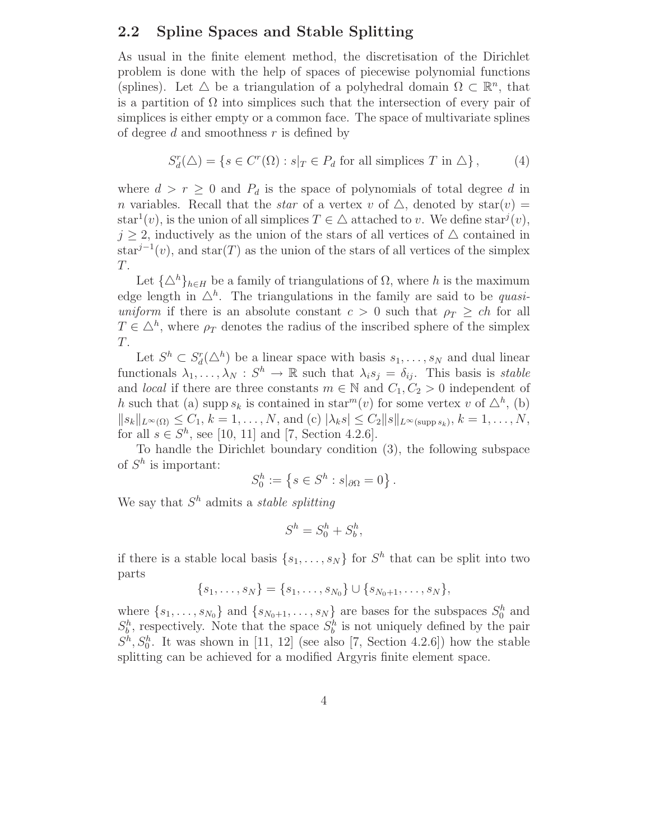### 2.2 Spline Spaces and Stable Splitting

As usual in the finite element method, the discretisation of the Dirichlet problem is done with the help of spaces of piecewise polynomial functions (splines). Let  $\triangle$  be a triangulation of a polyhedral domain  $\Omega \subset \mathbb{R}^n$ , that is a partition of  $\Omega$  into simplices such that the intersection of every pair of simplices is either empty or a common face. The space of multivariate splines of degree  $d$  and smoothness  $r$  is defined by

$$
S_d^r(\Delta) = \{ s \in C^r(\Omega) : s|_T \in P_d \text{ for all simplices } T \text{ in } \Delta \},\qquad(4)
$$

where  $d > r \geq 0$  and  $P_d$  is the space of polynomials of total degree d in n variables. Recall that the *star* of a vertex v of  $\triangle$ , denoted by star $(v)$  = star<sup>1</sup>(*v*), is the union of all simplices  $T \in \Delta$  attached to *v*. We define star<sup>j</sup>(*v*),  $j \geq 2$ , inductively as the union of the stars of all vertices of  $\triangle$  contained in  $star^{j-1}(v)$ , and  $star(T)$  as the union of the stars of all vertices of the simplex T.

Let  $\{\Delta^h\}_{h\in H}$  be a family of triangulations of  $\Omega$ , where h is the maximum edge length in  $\Delta^h$ . The triangulations in the family are said to be *quasiuniform* if there is an absolute constant  $c > 0$  such that  $\rho_T \geq ch$  for all  $T \in \Delta^h$ , where  $\rho_T$  denotes the radius of the inscribed sphere of the simplex  $T$ .

Let  $S^h \subset S_d^r(\Delta^h)$  be a linear space with basis  $s_1, \ldots, s_N$  and dual linear functionals  $\lambda_1, \ldots, \lambda_N : S^h \to \mathbb{R}$  such that  $\lambda_i s_j = \delta_{ij}$ . This basis is *stable* and *local* if there are three constants  $m \in \mathbb{N}$  and  $C_1, C_2 > 0$  independent of h such that (a) supp  $s_k$  is contained in star<sup>m</sup>(v) for some vertex v of  $\Delta^h$ , (b)  $||s_k||_{L^{\infty}(\Omega)} \leq C_1, k = 1, ..., N$ , and (c)  $|\lambda_k s| \leq C_2 ||s||_{L^{\infty}(\text{supp } s_k)}, k = 1, ..., N$ , for all  $s \in S^h$ , see [10, 11] and [7, Section 4.2.6].

To handle the Dirichlet boundary condition (3), the following subspace of  $S^h$  is important:

$$
S_0^h := \left\{ s \in S^h : s|_{\partial\Omega} = 0 \right\}.
$$

We say that S <sup>h</sup> admits a *stable splitting*

$$
S^h = S_0^h + S_b^h,
$$

if there is a stable local basis  $\{s_1, \ldots, s_N\}$  for  $S^h$  that can be split into two parts

$$
\{s_1, \ldots, s_N\} = \{s_1, \ldots, s_{N_0}\} \cup \{s_{N_0+1}, \ldots, s_N\},\
$$

where  $\{s_1, \ldots, s_{N_0}\}\$  and  $\{s_{N_0+1}, \ldots, s_N\}\$  are bases for the subspaces  $S_0^h$  and  $S_b^h$ , respectively. Note that the space  $S_b^h$  is not uniquely defined by the pair  $S<sup>h</sup>, S<sub>0</sub><sup>h</sup>$ . It was shown in [11, 12] (see also [7, Section 4.2.6]) how the stable splitting can be achieved for a modified Argyris finite element space.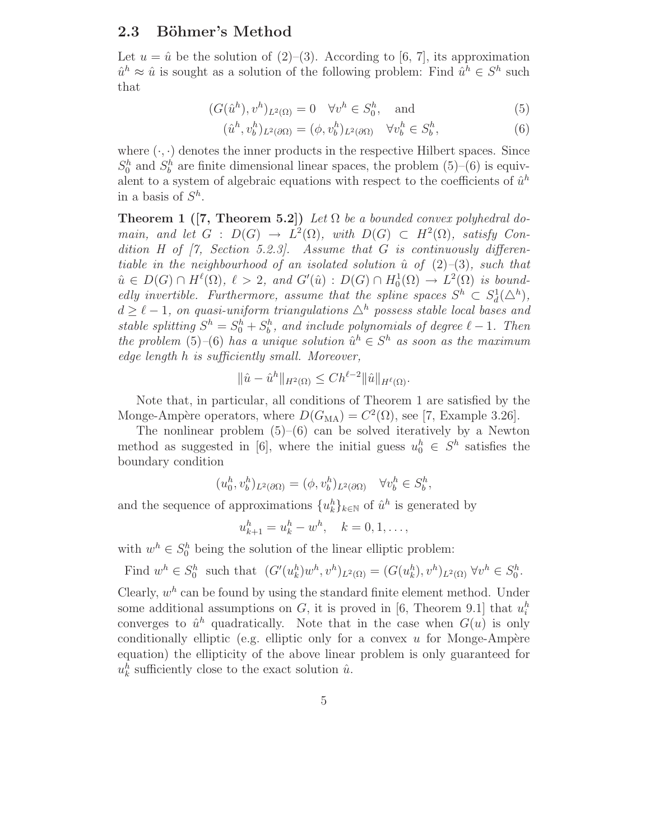#### 2.3 Böhmer's Method

Let  $u = \hat{u}$  be the solution of (2)–(3). According to [6, 7], its approximation  $\hat{u}^h \approx \hat{u}$  is sought as a solution of the following problem: Find  $\hat{u}^h \in S^h$  such that

$$
(G(\hat{u}^h), v^h)_{L^2(\Omega)} = 0 \quad \forall v^h \in S_0^h, \quad \text{and} \tag{5}
$$

$$
(\hat{u}^h, v_b^h)_{L^2(\partial\Omega)} = (\phi, v_b^h)_{L^2(\partial\Omega)} \quad \forall v_b^h \in S_b^h,
$$
\n
$$
(6)
$$

where  $(\cdot, \cdot)$  denotes the inner products in the respective Hilbert spaces. Since  $S_0^h$  and  $S_b^h$  are finite dimensional linear spaces, the problem (5)–(6) is equivalent to a system of algebraic equations with respect to the coefficients of  $\hat{u}^h$ in a basis of  $S^h$ .

**Theorem 1** ([7, Theorem 5.2]) *Let*  $\Omega$  *be a bounded convex polyhedral domain, and let*  $G : D(G) \to L^2(\Omega)$ *, with*  $D(G) \subset H^2(\Omega)$ *, satisfy Condition H of [7, Section 5.2.3]. Assume that* G *is continuously differentiable in the neighbourhood of an isolated solution*  $\hat{u}$  *of* (2)–(3)*, such that*  $\hat{u} \in D(G) \cap H^{\ell}(\Omega), \ell > 2$ , and  $G'(\hat{u}) : D(G) \cap H_0^1(\Omega) \to L^2(\Omega)$  is bound*edly invertible. Furthermore, assume that the spline spaces*  $S^h \subset S_d^1(\Delta^h)$ ,  $d \geq \ell - 1$ , on quasi-uniform triangulations  $\Delta^h$  possess stable local bases and *stable splitting*  $S^h = S_0^h + S_b^h$ , and include polynomials of degree  $\ell - 1$ . Then *the problem* (5)–(6) *has a unique solution*  $\hat{u}^h \in S^h$  *as soon as the maximum edge length* h *is sufficiently small. Moreover,*

$$
\|\hat{u}-\hat{u}^h\|_{H^2(\Omega)} \le Ch^{\ell-2} \|\hat{u}\|_{H^{\ell}(\Omega)}.
$$

Note that, in particular, all conditions of Theorem 1 are satisfied by the Monge-Ampère operators, where  $D(G_{\text{MA}}) = C^2(\Omega)$ , see [7, Example 3.26].

The nonlinear problem  $(5)$ – $(6)$  can be solved iteratively by a Newton method as suggested in [6], where the initial guess  $u_0^h \in S^h$  satisfies the boundary condition

$$
(u_0^h, v_b^h)_{L^2(\partial\Omega)} = (\phi, v_b^h)_{L^2(\partial\Omega)} \quad \forall v_b^h \in S_b^h,
$$

and the sequence of approximations  $\{u_k^h\}_{k\in\mathbb{N}}$  of  $\hat{u}^h$  is generated by

$$
u_{k+1}^h = u_k^h - w^h, \quad k = 0, 1, \dots,
$$

with  $w^h \in S_0^h$  being the solution of the linear elliptic problem:

Find 
$$
w^h \in S_0^h
$$
 such that  $(G'(u_k^h)w^h, v^h)_{L^2(\Omega)} = (G(u_k^h), v^h)_{L^2(\Omega)} \,\forall v^h \in S_0^h$ .

Clearly,  $w<sup>h</sup>$  can be found by using the standard finite element method. Under some additional assumptions on  $G$ , it is proved in [6, Theorem 9.1] that  $u_i^h$ converges to  $\hat{u}^h$  quadratically. Note that in the case when  $G(u)$  is only conditionally elliptic (e.g. elliptic only for a convex  $u$  for Monge-Ampère equation) the ellipticity of the above linear problem is only guaranteed for  $u_k^h$  sufficiently close to the exact solution  $\hat{u}$ .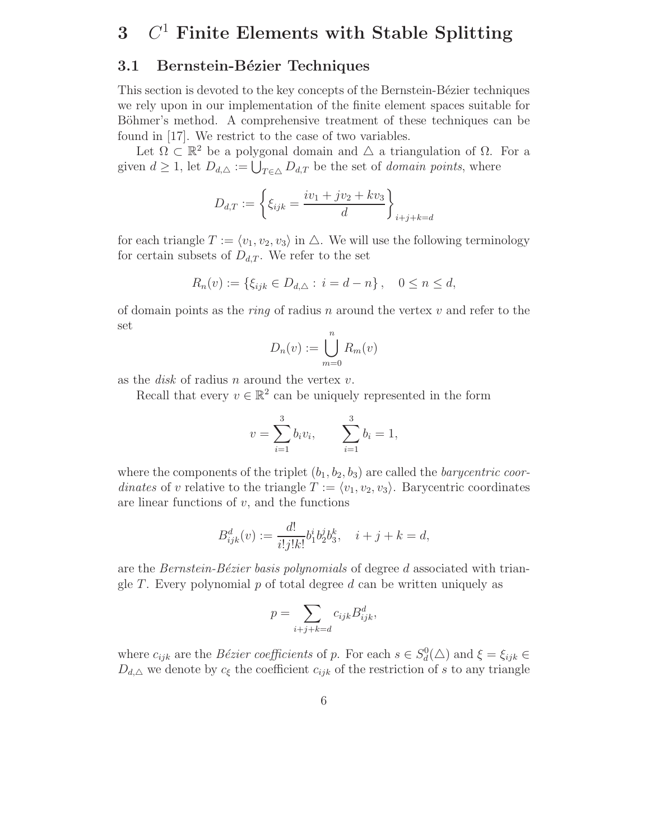# $3$   $C^1$  Finite Elements with Stable Splitting

### 3.1 Bernstein-Bézier Techniques

This section is devoted to the key concepts of the Bernstein-Bézier techniques we rely upon in our implementation of the finite element spaces suitable for Böhmer's method. A comprehensive treatment of these techniques can be found in [17]. We restrict to the case of two variables.

Let  $\Omega \subset \mathbb{R}^2$  be a polygonal domain and  $\triangle$  a triangulation of  $\Omega$ . For a given  $d \geq 1$ , let  $D_{d,\Delta} := \bigcup_{T \in \Delta} D_{d,T}$  be the set of *domain points*, where

$$
D_{d,T} := \left\{ \xi_{ijk} = \frac{iv_1 + jv_2 + kv_3}{d} \right\}_{i+j+k=d}
$$

for each triangle  $T := \langle v_1, v_2, v_3 \rangle$  in  $\triangle$ . We will use the following terminology for certain subsets of  $D_{d,T}$ . We refer to the set

$$
R_n(v) := \{ \xi_{ijk} \in D_{d,\Delta} : i = d - n \}, \quad 0 \le n \le d,
$$

of domain points as the *ring* of radius n around the vertex v and refer to the set

$$
D_n(v) := \bigcup_{m=0}^n R_m(v)
$$

as the  $disk$  of radius n around the vertex  $v$ .

Recall that every  $v \in \mathbb{R}^2$  can be uniquely represented in the form

$$
v = \sum_{i=1}^{3} b_i v_i, \qquad \sum_{i=1}^{3} b_i = 1,
$$

where the components of the triplet  $(b_1, b_2, b_3)$  are called the *barycentric coordinates* of v relative to the triangle  $T := \langle v_1, v_2, v_3 \rangle$ . Barycentric coordinates are linear functions of  $v$ , and the functions

$$
B_{ijk}^d(v) := \frac{d!}{i!j!k!}b_1^i b_2^j b_3^k, \quad i+j+k=d,
$$

are the *Bernstein-B´ezier basis polynomials* of degree d associated with triangle T. Every polynomial p of total degree d can be written uniquely as

$$
p = \sum_{i+j+k=d} c_{ijk} B_{ijk}^d,
$$

where  $c_{ijk}$  are the *Bézier coefficients* of p. For each  $s \in S_d^0(\triangle)$  and  $\xi = \xi_{ijk} \in$  $D_{d,\Delta}$  we denote by  $c_{\xi}$  the coefficient  $c_{ijk}$  of the restriction of s to any triangle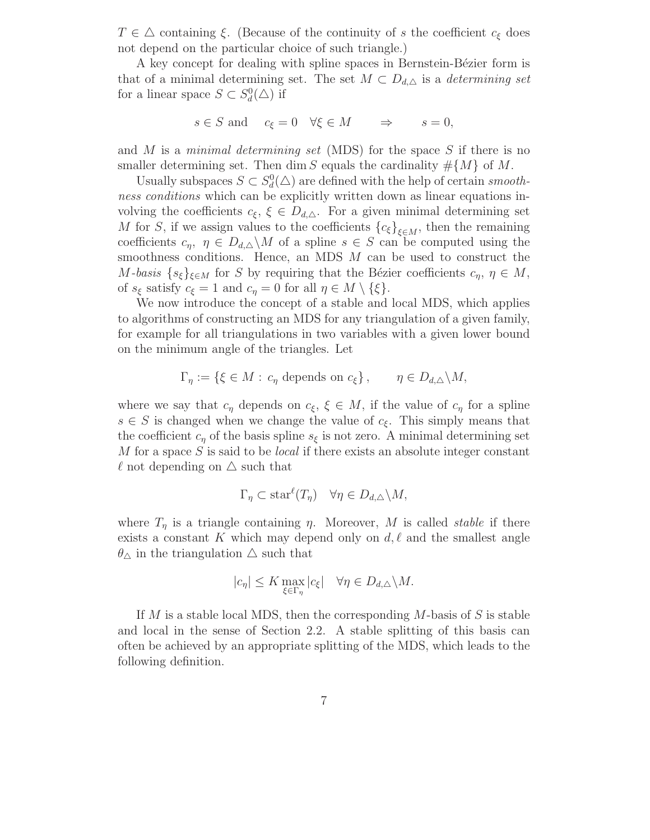$T \in \Delta$  containing  $\xi$ . (Because of the continuity of s the coefficient  $c_{\xi}$  does not depend on the particular choice of such triangle.)

A key concept for dealing with spline spaces in Bernstein-Bézier form is that of a minimal determining set. The set  $M \subset D_{d,\Delta}$  is a *determining set* for a linear space  $S \subset S_d^0(\triangle)$  if

$$
s \in S
$$
 and  $c_{\xi} = 0 \quad \forall \xi \in M \Rightarrow s = 0,$ 

and M is a *minimal determining set* (MDS) for the space S if there is no smaller determining set. Then dim S equals the cardinality  $\#\{M\}$  of M.

Usually subspaces  $S \subset S_d^0(\triangle)$  are defined with the help of certain *smoothness conditions* which can be explicitly written down as linear equations involving the coefficients  $c_{\xi}$ ,  $\xi \in D_{d,\Delta}$ . For a given minimal determining set M for S, if we assign values to the coefficients  ${c_{\xi}}_{\xi \in M}$ , then the remaining coefficients  $c_{\eta}$ ,  $\eta \in D_{d,\Delta} \backslash M$  of a spline  $s \in S$  can be computed using the smoothness conditions. Hence, an MDS M can be used to construct the M-basis  $\{s_{\xi}\}_{\xi \in M}$  for S by requiring that the Bézier coefficients  $c_{\eta}$ ,  $\eta \in M$ , of  $s_{\xi}$  satisfy  $c_{\xi} = 1$  and  $c_{\eta} = 0$  for all  $\eta \in M \setminus \{\xi\}.$ 

We now introduce the concept of a stable and local MDS, which applies to algorithms of constructing an MDS for any triangulation of a given family, for example for all triangulations in two variables with a given lower bound on the minimum angle of the triangles. Let

$$
\Gamma_{\eta} := \{ \xi \in M : c_{\eta} \text{ depends on } c_{\xi} \}, \qquad \eta \in D_{d,\triangle} \backslash M,
$$

where we say that  $c_{\eta}$  depends on  $c_{\xi}$ ,  $\xi \in M$ , if the value of  $c_{\eta}$  for a spline  $s \in S$  is changed when we change the value of  $c_{\xi}$ . This simply means that the coefficient  $c_n$  of the basis spline  $s_{\xi}$  is not zero. A minimal determining set M for a space S is said to be *local* if there exists an absolute integer constant  $\ell$  not depending on  $\Delta$  such that

$$
\Gamma_{\eta} \subset \text{star}^{\ell}(T_{\eta}) \quad \forall \eta \in D_{d,\triangle} \backslash M,
$$

where  $T_{\eta}$  is a triangle containing  $\eta$ . Moreover, M is called *stable* if there exists a constant K which may depend only on  $d, \ell$  and the smallest angle  $\theta_{\Delta}$  in the triangulation  $\Delta$  such that

$$
|c_{\eta}| \leq K \max_{\xi \in \Gamma_{\eta}} |c_{\xi}| \quad \forall \eta \in D_{d,\triangle} \backslash M.
$$

If M is a stable local MDS, then the corresponding M-basis of S is stable and local in the sense of Section 2.2. A stable splitting of this basis can often be achieved by an appropriate splitting of the MDS, which leads to the following definition.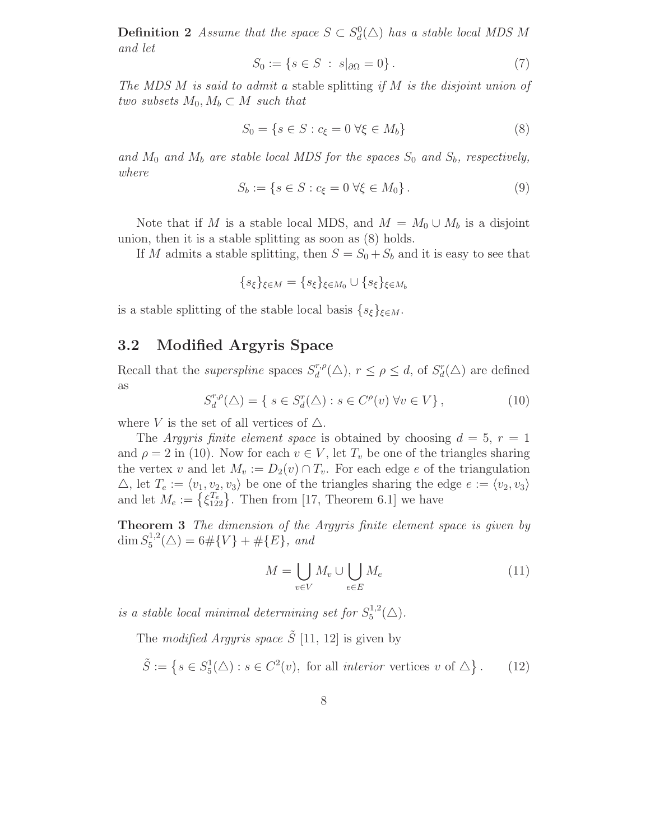**Definition 2** *Assume that the space*  $S \subset S_d^0(\triangle)$  *has a stable local MDS M and let*

$$
S_0 := \{ s \in S \; : \; s|_{\partial \Omega} = 0 \} \,. \tag{7}
$$

*The MDS* M *is said to admit a* stable splitting *if* M *is the disjoint union of two subsets*  $M_0, M_b \subset M$  *such that* 

$$
S_0 = \{ s \in S : c_{\xi} = 0 \,\forall \xi \in M_b \}
$$
\n
$$
(8)
$$

and  $M_0$  and  $M_b$  are stable local MDS for the spaces  $S_0$  and  $S_b$ , respectively, *where*

$$
S_b := \{ s \in S : c_{\xi} = 0 \; \forall \xi \in M_0 \} \,.
$$
 (9)

Note that if M is a stable local MDS, and  $M = M_0 \cup M_b$  is a disjoint union, then it is a stable splitting as soon as (8) holds.

If M admits a stable splitting, then  $S = S_0 + S_b$  and it is easy to see that

$$
\{s_{\xi}\}_{\xi \in M} = \{s_{\xi}\}_{\xi \in M_0} \cup \{s_{\xi}\}_{\xi \in M_b}
$$

is a stable splitting of the stable local basis  $\{s_{\xi}\}_{\xi \in M}$ .

### 3.2 Modified Argyris Space

Recall that the *superspline* spaces  $S_d^{r,p}$  $d_d^{r,\rho}(\Delta)$ ,  $r \leq \rho \leq d$ , of  $S_d^r(\Delta)$  are defined as

$$
S_d^{r,\rho}(\Delta) = \{ s \in S_d^r(\Delta) : s \in C^{\rho}(v) \,\forall v \in V \},\tag{10}
$$

where V is the set of all vertices of  $\triangle$ .

The *Argyris finite element space* is obtained by choosing  $d = 5$ ,  $r = 1$ and  $\rho = 2$  in (10). Now for each  $v \in V$ , let  $T_v$  be one of the triangles sharing the vertex v and let  $M_v := D_2(v) \cap T_v$ . For each edge e of the triangulation  $\triangle$ , let  $T_e := \langle v_1, v_2, v_3 \rangle$  be one of the triangles sharing the edge  $e := \langle v_2, v_3 \rangle$ and let  $M_e := \{\xi_{122}^{T_e}\}\.$  Then from [17, Theorem 6.1] we have

Theorem 3 *The dimension of the Argyris finite element space is given by* dim  $S_5^{1,2}$  $5^{1,2}(\triangle) = 6 \# \{V\} + \# \{E\}, \text{ and}$ 

$$
M = \bigcup_{v \in V} M_v \cup \bigcup_{e \in E} M_e \tag{11}
$$

*is a stable local minimal determining set for*  $S_5^{1,2}$  $j_{5}^{1,2}(\triangle).$ 

The *modified Argyris space*  $\tilde{S}$  [11, 12] is given by

$$
\tilde{S} := \left\{ s \in S_5^1(\triangle) : s \in C^2(v), \text{ for all interior vertices } v \text{ of } \triangle \right\}. \tag{12}
$$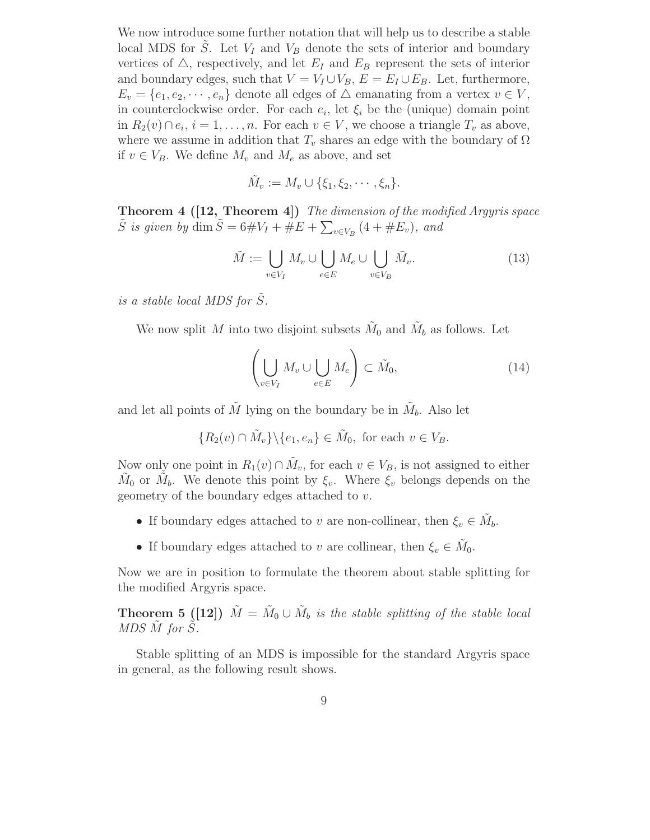We now introduce some further notation that will help us to describe a stable local MDS for S. Let  $V_I$  and  $V_B$  denote the sets of interior and boundary vertices of  $\triangle$ , respectively, and let  $E_I$  and  $E_B$  represent the sets of interior and boundary edges, such that  $V = V_I \cup V_B$ ,  $E = E_I \cup E_B$ . Let, furthermore,  $E_v = \{e_1, e_2, \dots, e_n\}$  denote all edges of  $\triangle$  emanating from a vertex  $v \in V$ , in counterclockwise order. For each  $e_i$ , let  $\xi_i$  be the (unique) domain point in  $R_2(v) \cap e_i$ ,  $i = 1, \ldots, n$ . For each  $v \in V$ , we choose a triangle  $T_v$  as above, where we assume in addition that  $T_v$  shares an edge with the boundary of  $\Omega$ if  $v \in V_B$ . We define  $M_v$  and  $M_e$  as above, and set

$$
\tilde{M}_v := M_v \cup \{\xi_1, \xi_2, \cdots, \xi_n\}.
$$

Theorem 4 ([12, Theorem 4]) *The dimension of the modified Argyris space*  $\tilde{S}$  *is given by* dim  $\tilde{S} = 6 \# V_I + \# E + \sum_{v \in V_B} (4 + \# E_v)$ , and

$$
\tilde{M} := \bigcup_{v \in V_I} M_v \cup \bigcup_{e \in E} M_e \cup \bigcup_{v \in V_B} \tilde{M}_v.
$$
\n(13)

*is a stable local MDS for*  $\tilde{S}$ *.* 

We now split M into two disjoint subsets  $\tilde{M}_0$  and  $\tilde{M}_b$  as follows. Let

$$
\left(\bigcup_{v\in V_I} M_v \cup \bigcup_{e\in E} M_e\right) \subset \tilde{M}_0,\tag{14}
$$

and let all points of  $\tilde{M}$  lying on the boundary be in  $\tilde{M}_b$ . Also let

$$
\{R_2(v) \cap \tilde{M}_v\} \backslash \{e_1, e_n\} \in \tilde{M}_0, \text{ for each } v \in V_B.
$$

Now only one point in  $R_1(v) \cap \tilde{M}_v$ , for each  $v \in V_B$ , is not assigned to either  $\tilde{M}_0$  or  $\tilde{M}_b$ . We denote this point by  $\xi_v$ . Where  $\xi_v$  belongs depends on the geometry of the boundary edges attached to v.

- If boundary edges attached to v are non-collinear, then  $\xi_v \in \tilde{M}_b$ .
- If boundary edges attached to v are collinear, then  $\xi_v \in \tilde{M}_0$ .

Now we are in position to formulate the theorem about stable splitting for the modified Argyris space.

**Theorem 5** ([12])  $\tilde{M} = \tilde{M}_0 \cup \tilde{M}_b$  is the stable splitting of the stable local *MDS M* for *S*.

Stable splitting of an MDS is impossible for the standard Argyris space in general, as the following result shows.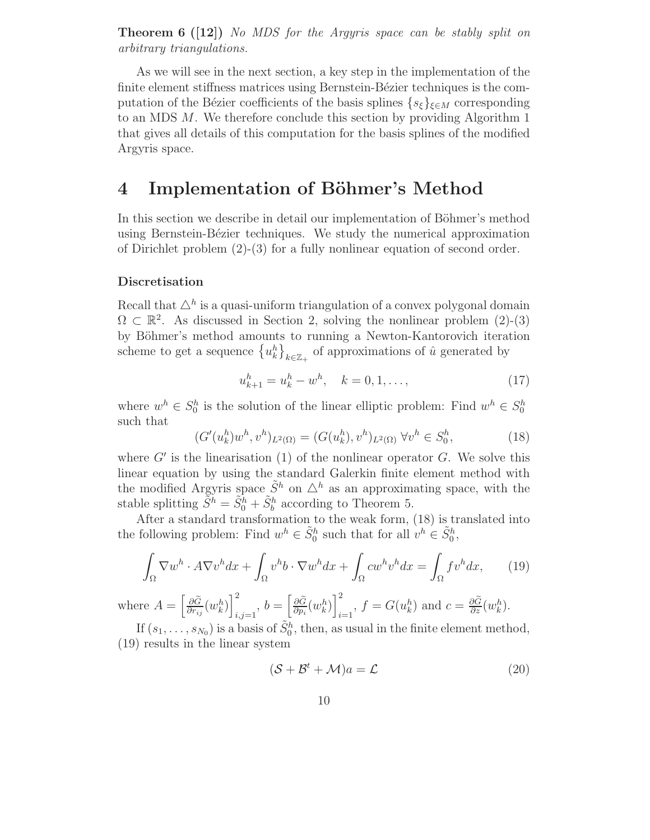Theorem 6 ([12]) *No MDS for the Argyris space can be stably split on arbitrary triangulations.*

As we will see in the next section, a key step in the implementation of the finite element stiffness matrices using Bernstein-Bézier techniques is the computation of the Bézier coefficients of the basis splines  $\{s_{\xi}\}_{\xi \in M}$  corresponding to an MDS M. We therefore conclude this section by providing Algorithm 1 that gives all details of this computation for the basis splines of the modified Argyris space.

### 4 Implementation of Böhmer's Method

In this section we describe in detail our implementation of Böhmer's method using Bernstein-Bézier techniques. We study the numerical approximation of Dirichlet problem  $(2)-(3)$  for a fully nonlinear equation of second order.

#### Discretisation

Recall that  $\Delta^h$  is a quasi-uniform triangulation of a convex polygonal domain  $\Omega \subset \mathbb{R}^2$ . As discussed in Section 2, solving the nonlinear problem (2)-(3) by Böhmer's method amounts to running a Newton-Kantorovich iteration scheme to get a sequence  $\{u_k^h\}_{k\in\mathbb{Z}_+}$  of approximations of  $\hat{u}$  generated by

$$
u_{k+1}^h = u_k^h - w^h, \quad k = 0, 1, \dots,
$$
\n(17)

where  $w^h \in S_0^h$  is the solution of the linear elliptic problem: Find  $w^h \in S_0^h$ such that

$$
(G'(u_k^h)w^h, v^h)_{L^2(\Omega)} = (G(u_k^h), v^h)_{L^2(\Omega)} \,\forall v^h \in S_0^h,
$$
\n(18)

where  $G'$  is the linearisation  $(1)$  of the nonlinear operator  $G$ . We solve this linear equation by using the standard Galerkin finite element method with the modified Argyris space  $\tilde{S}^h$  on  $\Delta^h$  as an approximating space, with the stable splitting  $\tilde{S}^h = \tilde{S}_0^h + \tilde{S}_b^h$  according to Theorem 5.

After a standard transformation to the weak form, (18) is translated into the following problem: Find  $w^h \in \tilde{S}_0^h$  such that for all  $v^h \in \tilde{S}_0^h$ ,

$$
\int_{\Omega} \nabla w^h \cdot A \nabla v^h dx + \int_{\Omega} v^h b \cdot \nabla w^h dx + \int_{\Omega} c w^h v^h dx = \int_{\Omega} f v^h dx, \qquad (19)
$$

where  $A = \left[\frac{\partial \widetilde{G}}{\partial r_i}\right]$  $\frac{\partial \widetilde{G}}{\partial r_{ij}}(w^h_k)\bigg]_i^2$  $\frac{2}{i,j=1},\ b=\Big[\frac{\partial \widetilde{G}}{\partial p_i}$  $\frac{\partial \widetilde{G}}{\partial p_i} (w^h_k) \bigg]_i^2$  $\sum_{i=1}^{2}$ ,  $f = G(u_k^h)$  and  $c = \frac{\partial \tilde{G}}{\partial z}(w_k^h)$ .

If  $(s_1, \ldots, s_{N_0})$  is a basis of  $\tilde{S}_0^h$ , then, as usual in the finite element method, (19) results in the linear system

$$
(\mathcal{S} + \mathcal{B}^t + \mathcal{M})a = \mathcal{L}
$$
 (20)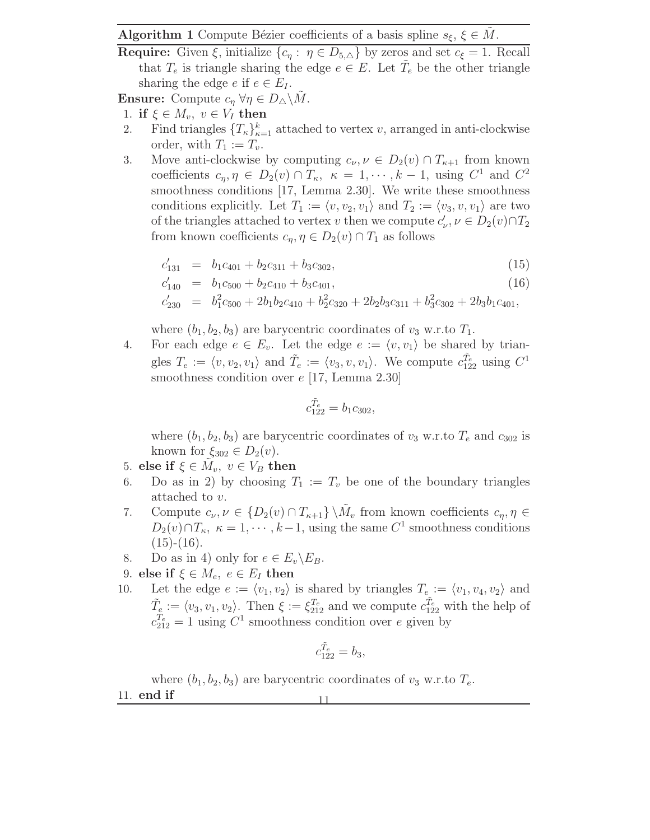Algorithm 1 Compute Bézier coefficients of a basis spline  $s_{\xi}$ ,  $\xi \in M$ .

**Require:** Given  $\xi$ , initialize  $\{c_{\eta} : \eta \in D_{5,\Delta}\}\)$  by zeros and set  $c_{\xi} = 1$ . Recall that  $T_e$  is triangle sharing the edge  $e \in E$ . Let  $\tilde{T}_e$  be the other triangle sharing the edge  $e$  if  $e \in E_I$ .

**Ensure:** Compute  $c_n \forall \eta \in D_\triangle \backslash M$ .

- 1. if  $\xi \in M_v$ ,  $v \in V_I$  then<br>2. Find triangles  $\{T_k\}_{k=1}^k$
- 2. Find triangles  $\{T_{\kappa}\}_{\kappa=1}^k$  attached to vertex v, arranged in anti-clockwise order, with  $T_1 := T_v$ .
- 3. Move anti-clockwise by computing  $c_{\nu}, \nu \in D_2(v) \cap T_{\kappa+1}$  from known coefficients  $c_{\eta}, \eta \in D_2(v) \cap T_{\kappa}, \ \kappa = 1, \cdots, k-1$ , using  $C^1$  and  $C^2$ smoothness conditions [17, Lemma 2.30]. We write these smoothness conditions explicitly. Let  $T_1 := \langle v, v_2, v_1 \rangle$  and  $T_2 := \langle v_3, v, v_1 \rangle$  are two of the triangles attached to vertex v then we compute  $c'_{\nu}, \nu \in D_2(v) \cap T_2$ from known coefficients  $c_{\eta}, \eta \in D_2(v) \cap T_1$  as follows

$$
c'_{131} = b_1c_{401} + b_2c_{311} + b_3c_{302}, \t\t(15)
$$

$$
c'_{140} = b_1c_{500} + b_2c_{410} + b_3c_{401}, \t\t(16)
$$

$$
c'_{230} = b_1^2 c_{500} + 2b_1 b_2 c_{410} + b_2^2 c_{320} + 2b_2 b_3 c_{311} + b_3^2 c_{302} + 2b_3 b_1 c_{401},
$$

where  $(b_1, b_2, b_3)$  are barycentric coordinates of  $v_3$  w.r.to  $T_1$ .

4. For each edge  $e \in E_v$ . Let the edge  $e := \langle v, v_1 \rangle$  be shared by triangles  $T_e := \langle v, v_2, v_1 \rangle$  and  $\tilde{T}_e := \langle v_3, v, v_1 \rangle$ . We compute  $c_{122}^{\tilde{T}_e}$  using  $C^1$ smoothness condition over  $e$  [17, Lemma 2.30]

$$
c_{122}^{\tilde{T}_e} = b_1 c_{302},
$$

where  $(b_1, b_2, b_3)$  are barycentric coordinates of  $v_3$  w.r.to  $T_e$  and  $c_{302}$  is known for  $\xi_{302} \in D_2(v)$ .

- 5. else if  $\xi \in \tilde{M}_v$ ,  $v \in V_B$  then
- 6. Do as in 2) by choosing  $T_1 := T_v$  be one of the boundary triangles attached to v.
- 7. Compute  $c_{\nu}, \nu \in \{D_2(v) \cap T_{\kappa+1}\}\setminus \tilde{M}_v$  from known coefficients  $c_{\eta}, \eta \in$  $D_2(v) \cap T_{\kappa}, \ \kappa = 1, \cdots, k-1$ , using the same  $C^1$  smoothness conditions  $(15)-(16)$ .
- 8. Do as in 4) only for  $e \in E_v \backslash E_B$ .
- 9. else if  $\xi \in M_e$ ,  $e \in E_I$  then<br>10. Let the edge  $e := \langle v_1, v_2 \rangle$
- Let the edge  $e := \langle v_1, v_2 \rangle$  is shared by triangles  $T_e := \langle v_1, v_4, v_2 \rangle$  and  $\tilde{T}_e = \langle v_3, v_1, v_2 \rangle$ . Then  $\xi := \xi_{212}^{T_e}$  and we compute  $c_{122}^{T_e}$  with the help of  $c_{212}^{T_e} = 1$  using  $C^1$  smoothness condition over e given by

$$
c_{122}^{\tilde{T}_e} = b_3,
$$

where  $(b_1, b_2, b_3)$  are barycentric coordinates of  $v_3$  w.r.to  $T_e$ .

11. end if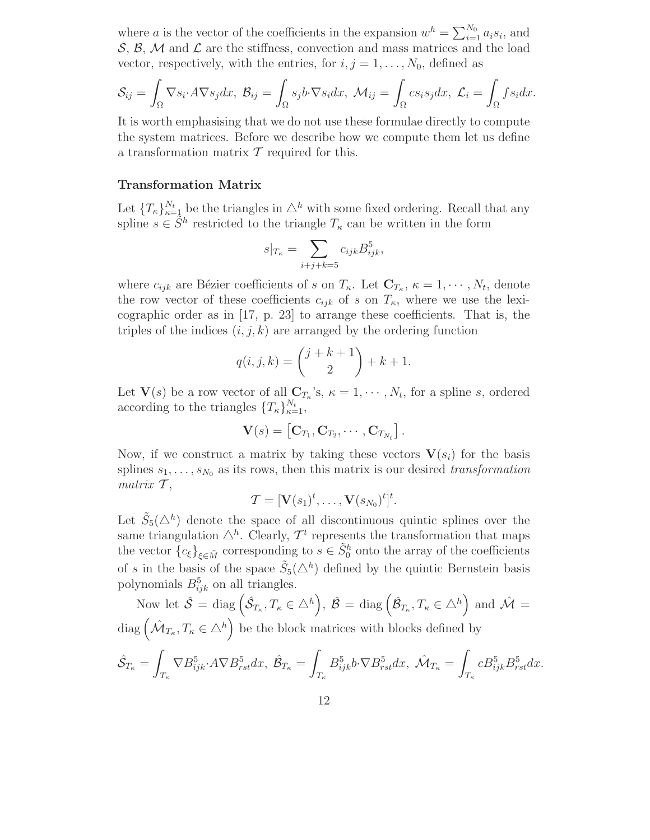where a is the vector of the coefficients in the expansion  $w^h = \sum_{i=1}^{N_0} a_i s_i$ , and  $\mathcal{S}, \mathcal{B}, \mathcal{M}$  and  $\mathcal{L}$  are the stiffness, convection and mass matrices and the load vector, respectively, with the entries, for  $i, j = 1, \ldots, N_0$ , defined as

$$
\mathcal{S}_{ij} = \int_{\Omega} \nabla s_i \cdot A \nabla s_j dx, \ \mathcal{B}_{ij} = \int_{\Omega} s_j b \cdot \nabla s_i dx, \ \mathcal{M}_{ij} = \int_{\Omega} c s_i s_j dx, \ \mathcal{L}_i = \int_{\Omega} f s_i dx.
$$

It is worth emphasising that we do not use these formulae directly to compute the system matrices. Before we describe how we compute them let us define a transformation matrix  $\mathcal T$  required for this.

#### Transformation Matrix

Let  $\{T_{\kappa}\}_{\kappa=\frac{1}{2}l}^N$  be the triangles in  $\Delta^h$  with some fixed ordering. Recall that any spline  $s \in \tilde{S}^h$  restricted to the triangle  $T_{\kappa}$  can be written in the form

$$
s|_{T_{\kappa}} = \sum_{i+j+k=5} c_{ijk} B_{ijk}^5,
$$

where  $c_{ijk}$  are Bézier coefficients of s on  $T_{\kappa}$ . Let  $\mathbf{C}_{T_{\kappa}}, \kappa = 1, \cdots, N_t$ , denote the row vector of these coefficients  $c_{ijk}$  of s on  $T_{\kappa}$ , where we use the lexicographic order as in [17, p. 23] to arrange these coefficients. That is, the triples of the indices  $(i, j, k)$  are arranged by the ordering function

$$
q(i, j, k) = {j + k + 1 \choose 2} + k + 1.
$$

Let  $\mathbf{V}(s)$  be a row vector of all  $\mathbf{C}_{T_{\kappa}}$ 's,  $\kappa = 1, \cdots, N_t$ , for a spline s, ordered according to the triangles  $\{T_{\kappa}\}_{\kappa=1}^{N_t}$ ,

$$
\mathbf{V}(s) = \left[\mathbf{C}_{T_1}, \mathbf{C}_{T_2}, \cdots, \mathbf{C}_{T_{N_t}}\right].
$$

Now, if we construct a matrix by taking these vectors  $V(s_i)$  for the basis splines  $s_1, \ldots, s_{N_0}$  as its rows, then this matrix is our desired *transformation matrix*  $\mathcal{T}$ ,

$$
\mathcal{T} = [\mathbf{V}(s_1)^t, \dots, \mathbf{V}(s_{N_0})^t]^t.
$$

Let  $\tilde{S}_5(\triangle^h)$  denote the space of all discontinuous quintic splines over the same triangulation  $\Delta^h$ . Clearly,  $\mathcal{T}^t$  represents the transformation that maps the vector  ${c_{\xi}}_{\xi \in \tilde{M}}$  corresponding to  $s \in \tilde{S}_0^h$  onto the array of the coefficients of s in the basis of the space  $\tilde{S}_5(\triangle^h)$  defined by the quintic Bernstein basis polynomials  $B_{ijk}^5$  on all triangles.

Now let  $\hat{\mathcal{S}} = \text{diag}(\hat{\mathcal{S}}_{T_{\kappa}}, T_{\kappa} \in \triangle^h), \ \hat{\mathcal{B}} = \text{diag}(\hat{\mathcal{B}}_{T_{\kappa}}, T_{\kappa} \in \triangle^h)$  and  $\hat{\mathcal{M}} =$ diag  $(\hat{\mathcal{M}}_{T_{\kappa}}, T_{\kappa} \in \Delta^h)$  be the block matrices with blocks defined by  $\hat{\mathcal{S}}_{T_{\kappa}}=% {\textstyle\sum\nolimits_{\alpha}} e_{\alpha}e^{\frac{i}{2}\omega_{\alpha}t}$ Z  $\int_{T_{\kappa}}\nabla B_{ijk}^5\mathcal{A}\nabla B_{rst}^5dx,\ \hat{\mathcal{B}}_{T_{\kappa}}=0$  $T_\kappa$  $B_{ijk}^5b\cdot \nabla B_{rst}^5dx$ ,  $\hat{\mathcal{M}}_{T_{\kappa}}=$ Z  $T_{\kappa}$  $cB_{ijk}^5B_{rst}^5dx$ .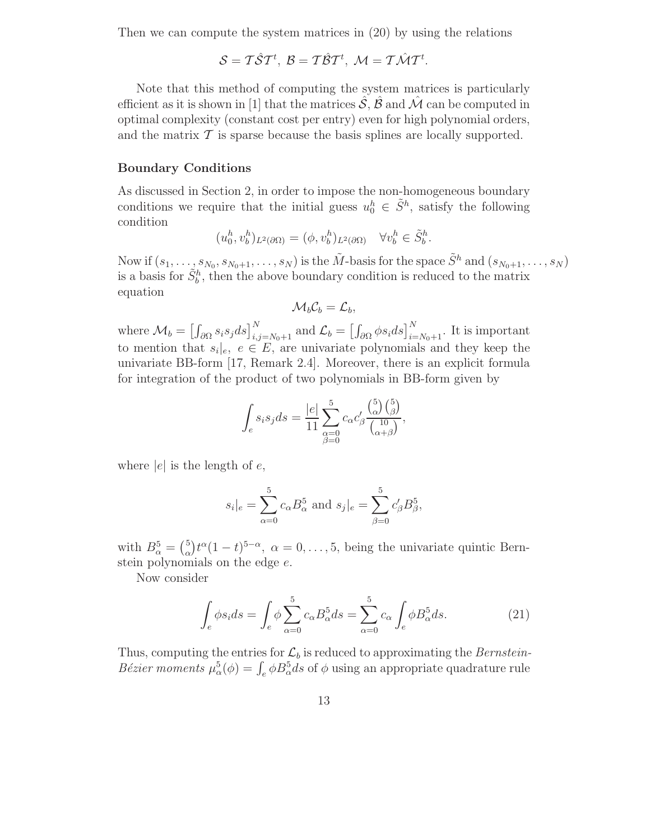Then we can compute the system matrices in (20) by using the relations

$$
S=T\hat{S}T^t, B=T\hat{B}T^t, \mathcal{M}=T\hat{\mathcal{M}}T^t.
$$

Note that this method of computing the system matrices is particularly efficient as it is shown in [1] that the matrices  $\mathcal{S}, \mathcal{B}$  and  $\mathcal{M}$  can be computed in optimal complexity (constant cost per entry) even for high polynomial orders, and the matrix  $\mathcal T$  is sparse because the basis splines are locally supported.

#### Boundary Conditions

As discussed in Section 2, in order to impose the non-homogeneous boundary conditions we require that the initial guess  $u_0^h \in \tilde{S}^h$ , satisfy the following condition

$$
(u_0^h, v_b^h)_{L^2(\partial\Omega)} = (\phi, v_b^h)_{L^2(\partial\Omega)} \quad \forall v_b^h \in \tilde{S}_b^h.
$$

Now if  $(s_1, \ldots, s_{N_0}, s_{N_0+1}, \ldots, s_N)$  is the  $\tilde{M}$ -basis for the space  $\tilde{S}^h$  and  $(s_{N_0+1}, \ldots, s_N)$ is a basis for  $\tilde{S}_b^h$ , then the above boundary condition is reduced to the matrix equation

$$
\mathcal{M}_b \mathcal{C}_b = \mathcal{L}_b,
$$

where  $\mathcal{M}_b = \left[\int_{\partial\Omega} s_i s_j ds\right]_{i,j=N_0+1}^N$  and  $\mathcal{L}_b = \left[\int_{\partial\Omega} \phi s_i ds\right]_{i=N_0+1}^N$ . It is important to mention that  $s_i|e, e \in E$ , are univariate polynomials and they keep the univariate BB-form [17, Remark 2.4]. Moreover, there is an explicit formula for integration of the product of two polynomials in BB-form given by

$$
\int_e s_i s_j ds = \frac{|e|}{11} \sum_{\substack{\alpha=0 \\ \beta=0}}^5 c_\alpha c'_\beta \frac{{\binom{5}{\alpha}} {\binom{5}{\beta}}}{\binom{10}{\alpha+\beta}},
$$

where  $|e|$  is the length of  $e$ ,

$$
s_i|_e = \sum_{\alpha=0}^{5} c_{\alpha} B_{\alpha}^5
$$
 and  $s_j|_e = \sum_{\beta=0}^{5} c_{\beta}' B_{\beta}^5$ ,

with  $B_{\alpha}^5 = \binom{5}{\alpha}$  $\alpha_{\alpha}^{5}$ ) $t^{\alpha}(1-t)^{5-\alpha}$ ,  $\alpha=0,\ldots,5$ , being the univariate quintic Bernstein polynomials on the edge e.

Now consider

$$
\int_{e} \phi s_i ds = \int_{e} \phi \sum_{\alpha=0}^{5} c_{\alpha} B_{\alpha}^{5} ds = \sum_{\alpha=0}^{5} c_{\alpha} \int_{e} \phi B_{\alpha}^{5} ds.
$$
 (21)

Thus, computing the entries for  $\mathcal{L}_b$  is reduced to approximating the *Bernstein*-*Bézier moments*  $\mu_{\alpha}^{5}(\phi) = \int_{e}^{\phi} \beta B_{\alpha}^{5} ds$  of  $\phi$  using an appropriate quadrature rule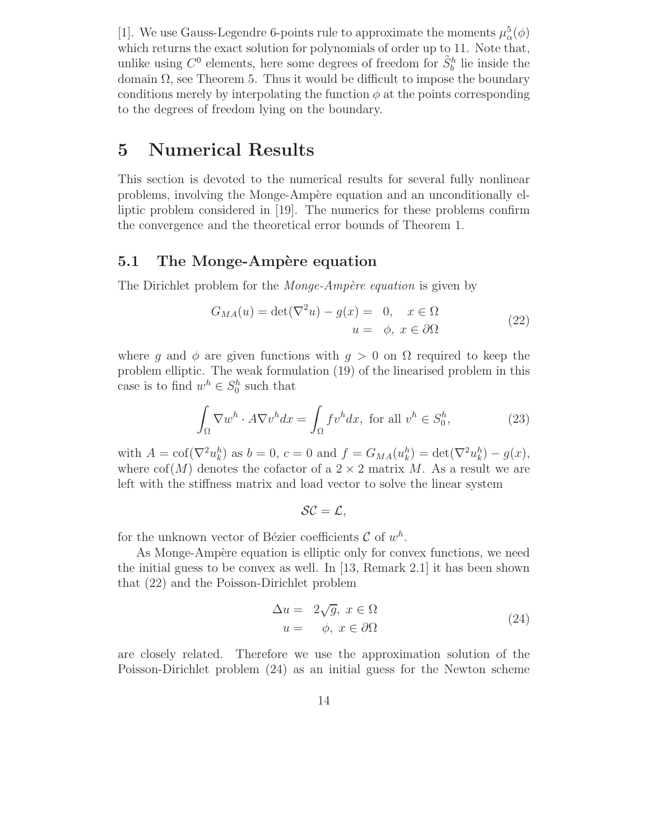[1]. We use Gauss-Legendre 6-points rule to approximate the moments  $\mu_{\alpha}^{5}(\phi)$ which returns the exact solution for polynomials of order up to 11. Note that, unlike using  $C^0$  elements, here some degrees of freedom for  $\tilde{S}_b^h$  lie inside the domain  $\Omega$ , see Theorem 5. Thus it would be difficult to impose the boundary conditions merely by interpolating the function  $\phi$  at the points corresponding to the degrees of freedom lying on the boundary.

# 5 Numerical Results

This section is devoted to the numerical results for several fully nonlinear problems, involving the Monge-Ampère equation and an unconditionally elliptic problem considered in [19]. The numerics for these problems confirm the convergence and the theoretical error bounds of Theorem 1.

### 5.1 The Monge-Ampère equation

The Dirichlet problem for the *Monge-Ampère equation* is given by

$$
G_{MA}(u) = \det(\nabla^2 u) - g(x) = 0, \quad x \in \Omega
$$
  

$$
u = \phi, \ x \in \partial\Omega
$$
 (22)

where g and  $\phi$  are given functions with  $g > 0$  on  $\Omega$  required to keep the problem elliptic. The weak formulation (19) of the linearised problem in this case is to find  $w^h \in S_0^h$  such that

$$
\int_{\Omega} \nabla w^h \cdot A \nabla v^h dx = \int_{\Omega} f v^h dx, \text{ for all } v^h \in S_0^h,
$$
 (23)

with  $A = \text{cof}(\nabla^2 u_k^h)$  as  $b = 0$ ,  $c = 0$  and  $f = G_{MA}(u_k^h) = \det(\nabla^2 u_k^h) - g(x)$ , where  $\text{cof}(M)$  denotes the cofactor of a  $2 \times 2$  matrix M. As a result we are left with the stiffness matrix and load vector to solve the linear system

$$
\mathcal{SC}=\mathcal{L},
$$

for the unknown vector of Bézier coefficients  $\mathcal{C}$  of  $w^h$ .

As Monge-Ampère equation is elliptic only for convex functions, we need the initial guess to be convex as well. In [13, Remark 2.1] it has been shown that (22) and the Poisson-Dirichlet problem

$$
\Delta u = 2\sqrt{g}, x \in \Omega
$$
  

$$
u = \phi, x \in \partial\Omega
$$
 (24)

are closely related. Therefore we use the approximation solution of the Poisson-Dirichlet problem (24) as an initial guess for the Newton scheme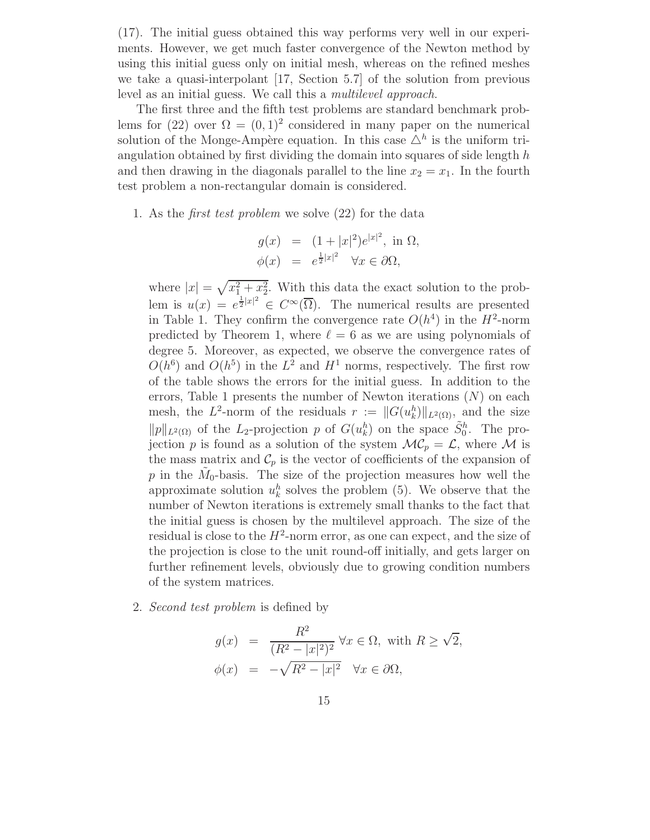(17). The initial guess obtained this way performs very well in our experiments. However, we get much faster convergence of the Newton method by using this initial guess only on initial mesh, whereas on the refined meshes we take a quasi-interpolant [17, Section 5.7] of the solution from previous level as an initial guess. We call this a *multilevel approach*.

The first three and the fifth test problems are standard benchmark problems for (22) over  $\Omega = (0,1)^2$  considered in many paper on the numerical solution of the Monge-Ampère equation. In this case  $\Delta^h$  is the uniform triangulation obtained by first dividing the domain into squares of side length  $h$ and then drawing in the diagonals parallel to the line  $x_2 = x_1$ . In the fourth test problem a non-rectangular domain is considered.

1. As the *first test problem* we solve (22) for the data

$$
g(x) = (1+|x|^2)e^{|x|^2}, \text{ in } \Omega,
$$
  

$$
\phi(x) = e^{\frac{1}{2}|x|^2} \quad \forall x \in \partial\Omega,
$$

where  $|x| = \sqrt{x_1^2 + x_2^2}$ . With this data the exact solution to the problem is  $u(x) = e^{\frac{1}{2}|x|^2} \in C^\infty(\overline{\Omega})$ . The numerical results are presented in Table 1. They confirm the convergence rate  $O(h^4)$  in the  $H^2$ -norm predicted by Theorem 1, where  $\ell = 6$  as we are using polynomials of degree 5. Moreover, as expected, we observe the convergence rates of  $O(h^6)$  and  $O(h^5)$  in the  $L^2$  and  $H^1$  norms, respectively. The first row of the table shows the errors for the initial guess. In addition to the errors, Table 1 presents the number of Newton iterations  $(N)$  on each mesh, the L<sup>2</sup>-norm of the residuals  $r := ||G(u_k^h)||_{L^2(\Omega)}$ , and the size  $||p||_{L^2(\Omega)}$  of the L<sub>2</sub>-projection p of  $G(u_k^h)$  on the space  $\tilde{S}_0^h$ . The projection p is found as a solution of the system  $MC_p = \mathcal{L}$ , where M is the mass matrix and  $\mathcal{C}_p$  is the vector of coefficients of the expansion of p in the  $\tilde{M}_0$ -basis. The size of the projection measures how well the approximate solution  $u_k^h$  solves the problem (5). We observe that the number of Newton iterations is extremely small thanks to the fact that the initial guess is chosen by the multilevel approach. The size of the residual is close to the  $H^2$ -norm error, as one can expect, and the size of the projection is close to the unit round-off initially, and gets larger on further refinement levels, obviously due to growing condition numbers of the system matrices.

2. *Second test problem* is defined by

$$
g(x) = \frac{R^2}{(R^2 - |x|^2)^2} \forall x \in \Omega, \text{ with } R \ge \sqrt{2},
$$
  

$$
\phi(x) = -\sqrt{R^2 - |x|^2} \quad \forall x \in \partial\Omega,
$$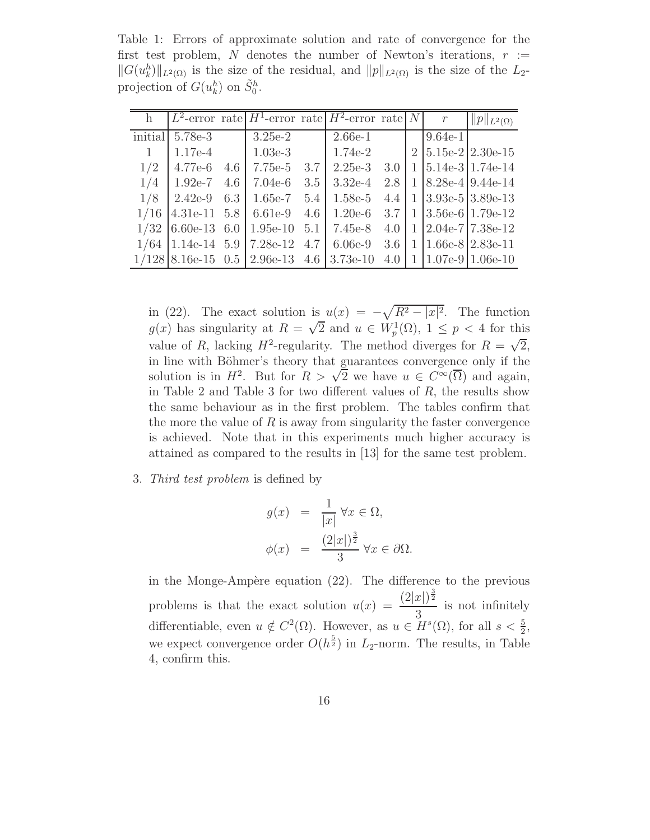Table 1: Errors of approximate solution and rate of convergence for the first test problem, N denotes the number of Newton's iterations,  $r :=$  $||G(u_k^h)||_{L^2(\Omega)}$  is the size of the residual, and  $||p||_{L^2(\Omega)}$  is the size of the L<sub>2</sub>projection of  $G(u_k^h)$  on  $\tilde{S}_0^h$ .

|         |                |     | $L^2$ -error rate $H^1$ -error rate $H^2$ -error rate N |     |           |     |              | $\mathcal{r}$ | $  p  _{L^2(\Omega)}$ |
|---------|----------------|-----|---------------------------------------------------------|-----|-----------|-----|--------------|---------------|-----------------------|
| initial | 5.78e-3        |     | $3.25e-2$                                               |     | $2.66e-1$ |     |              | $9.64e-1$     |                       |
| 1       | $1.17e-4$      |     | $1.03e-3$                                               |     | $1.74e-2$ |     |              |               | $2 5.15e-2 2.30e-15$  |
| 1/2     | $4.77e-6$      | 4.6 | 7.75e-5                                                 | 3.7 | $2.25e-3$ | 3.0 | $\mathbf{1}$ |               | $ 5.14e-3 1.74e-14$   |
| 1/4     | $1.92e-7$      | 4.6 | $7.04e-6$                                               | 3.5 | $3.32e-4$ | 2.8 | $\mathbf{1}$ |               | $ 8.28e-4 9.44e-14$   |
| 1/8     | $2.42e-9$      | 6.3 | $1.65e-7$                                               | 5.4 | $1.58e-5$ | 4.4 | $\mathbf{1}$ |               | $ 3.93e-5 3.89e-13$   |
| 1/16    | $4.31e-11$ 5.8 |     | 6.61e-9                                                 | 4.6 | $1.20e-6$ | 3.7 | 1            |               | $3.56e-6$ 1.79e-12    |
| 1/32    | $6.60e-13$ 6.0 |     | $1.95e-10$ 5.1                                          |     | 7.45e-8   | 4.0 | $\mathbf{1}$ |               | $ 2.04e-7 7.38e-12$   |
| 1/64    | $1.14e-14$ 5.9 |     | 7.28e-12 4.7                                            |     | $6.06e-9$ | 3.6 | $\mathbf{1}$ |               | $ 1.66e-8 2.83e-11$   |
|         |                |     | $1/128$ 8.16e-15 0.5 2.96e-13 4.6 3.73e-10              |     |           | 4.0 | $\mathbf{1}$ |               | $1.07e-9$ 1.06e-10    |

in (22). The exact solution is  $u(x) = -\sqrt{R^2 - |x|^2}$ . The function  $g(x)$  has singularity at  $R = \sqrt{2}$  and  $u \in W_p^1(\Omega)$ ,  $1 \leq p < 4$  for this value of R, lacking  $H^2$ -regularity. The method diverges for  $R = \sqrt{2}$ , in line with Böhmer's theory that guarantees convergence only if the solution is in  $H^2$ . But for  $R > \sqrt{2}$  we have  $u \in C^{\infty}(\overline{\Omega})$  and again, in Table 2 and Table 3 for two different values of  $R$ , the results show the same behaviour as in the first problem. The tables confirm that the more the value of  $R$  is away from singularity the faster convergence is achieved. Note that in this experiments much higher accuracy is attained as compared to the results in [13] for the same test problem.

3. *Third test problem* is defined by

$$
g(x) = \frac{1}{|x|} \forall x \in \Omega,
$$
  

$$
\phi(x) = \frac{(2|x|)^{\frac{3}{2}}}{3} \forall x \in \partial\Omega.
$$

in the Monge-Ampère equation  $(22)$ . The difference to the previous problems is that the exact solution  $u(x) = \frac{(2|x|)^{\frac{3}{2}}}{2}$ 3 is not infinitely differentiable, even  $u \notin C^2(\Omega)$ . However, as  $u \in H^s(\Omega)$ , for all  $s < \frac{5}{2}$ , we expect convergence order  $O(h^{\frac{5}{2}})$  in  $L_2$ -norm. The results, in Table 4, confirm this.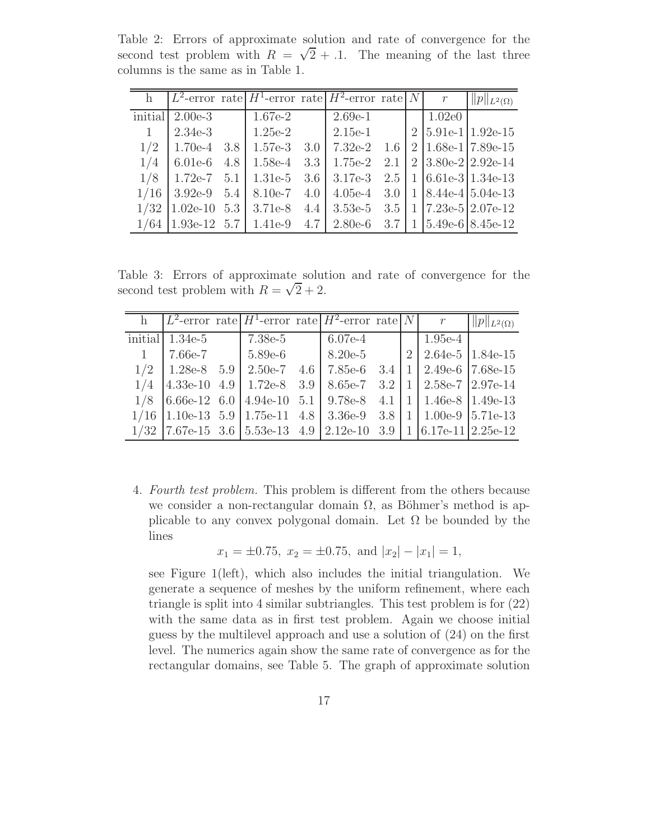Table 2: Errors of approximate solution and rate of convergence for the second test problem with  $R = \sqrt{2} + .1$ . The meaning of the last three columns is the same as in Table 1.

|         |               |     |                                                  |     | $L^2$ -error rate $H^1$ -error rate $H^2$ -error rate N |     | $\mathcal{r}$ | $  p  _{L^2(\Omega)}$          |
|---------|---------------|-----|--------------------------------------------------|-----|---------------------------------------------------------|-----|---------------|--------------------------------|
| initial | $2.00e-3$     |     | $1.67e-2$                                        |     | $2.69e-1$                                               |     | 1.02e0        |                                |
|         | $2.34e-3$     |     | $1.25e-2$                                        |     | $2.15e-1$                                               |     |               | $2 5.91e-1 1.92e-15$           |
| 1/2     | $1.70e-4$     | 3.8 | $1.57e-3$                                        | 3.0 | $7.32e-2$                                               | 1.6 |               | $2 1.68e-1 7.89e-15$           |
| 1/4     | $6.01e-6$     | 4.8 | $1.58e-4$ 3.3                                    |     | $1.75e-2$                                               | 2.1 |               | $2 3.80e-2 2.92e-14$           |
| 1/8     | $1.72e-7$ 5.1 |     | $1.31e-5$ 3.6                                    |     | $3.17e-3$                                               | 2.5 |               | $1 \mid 6.61e-3 \mid 1.34e-13$ |
| 1/16    |               |     | 3.92e-9 $5.4 \mid 8.10e-7$                       | 4.0 | $4.05e-4$                                               | 3.0 |               | $1 8.44e-4 5.04e-13$           |
| 1/32    |               |     | $1.02e-10$ 5.3 $3.71e-8$                         | 4.4 | $3.53e-5$                                               | 3.5 |               | $1 \mid 7.23e-5 \mid 2.07e-12$ |
| 1/64    |               |     | $1.93e-12 \quad 5.7 \mid 1.41e-9 \quad 4.7 \mid$ |     | $2.80e-6$ 3.7                                           |     |               | $1$   $5.49e-6$   $8.45e-12$   |

Table 3: Errors of approximate solution and rate of convergence for the second test problem with  $R = \sqrt{2} + 2$ .

|     |                   | h $L^2$ -error rate $H^1$ -error rate $H^2$ -error rate $ N $ r                                          |                                                    |  |                                | $  p  _{L^2(\Omega)}$ |
|-----|-------------------|----------------------------------------------------------------------------------------------------------|----------------------------------------------------|--|--------------------------------|-----------------------|
|     | initial $1.34e-5$ | 7.38e-5                                                                                                  | 6.07e-4                                            |  | $1.95e-4$                      |                       |
| 1   | 7.66e-7           | $15.89e-6$                                                                                               | $8.20e-5$                                          |  | $2 \mid 2.64e-5 \mid 1.84e-15$ |                       |
| 1/2 | $1.28e-8$ 5.9     |                                                                                                          | 2.50e-7 4.6   7.85e-6 3.4   1   2.49e-6   7.68e-15 |  |                                |                       |
| 1/4 |                   | $\begin{bmatrix} 4.33e-10 & 4.9 & 1.72e-8 & 3.9 \end{bmatrix}$                                           | 8.65e-7 3.2   1   2.58e-7   2.97e-14               |  |                                |                       |
| 1/8 |                   | $\begin{bmatrix} 6.66e-12 & 6.0 & 4.94e-10 & 5.1 & 9.78e-8 & 4.1 & 1 & 1.46e-8 & 1.49e-13 \end{bmatrix}$ |                                                    |  |                                |                       |
|     |                   | $1/16$  1.10e-13 5.9   1.75e-11 4.8   3.36e-9 3.8   1   1.00e-9   5.71e-13                               |                                                    |  |                                |                       |
|     |                   | $1/32$  7.67e-15 3.6   5.53e-13 4.9   2.12e-10 3.9   1   6.17e-11   2.25e-12                             |                                                    |  |                                |                       |

4. *Fourth test problem.* This problem is different from the others because we consider a non-rectangular domain  $\Omega$ , as Böhmer's method is applicable to any convex polygonal domain. Let  $\Omega$  be bounded by the lines

$$
x_1 = \pm 0.75
$$
,  $x_2 = \pm 0.75$ , and  $|x_2| - |x_1| = 1$ ,

see Figure 1(left), which also includes the initial triangulation. We generate a sequence of meshes by the uniform refinement, where each triangle is split into 4 similar subtriangles. This test problem is for (22) with the same data as in first test problem. Again we choose initial guess by the multilevel approach and use a solution of (24) on the first level. The numerics again show the same rate of convergence as for the rectangular domains, see Table 5. The graph of approximate solution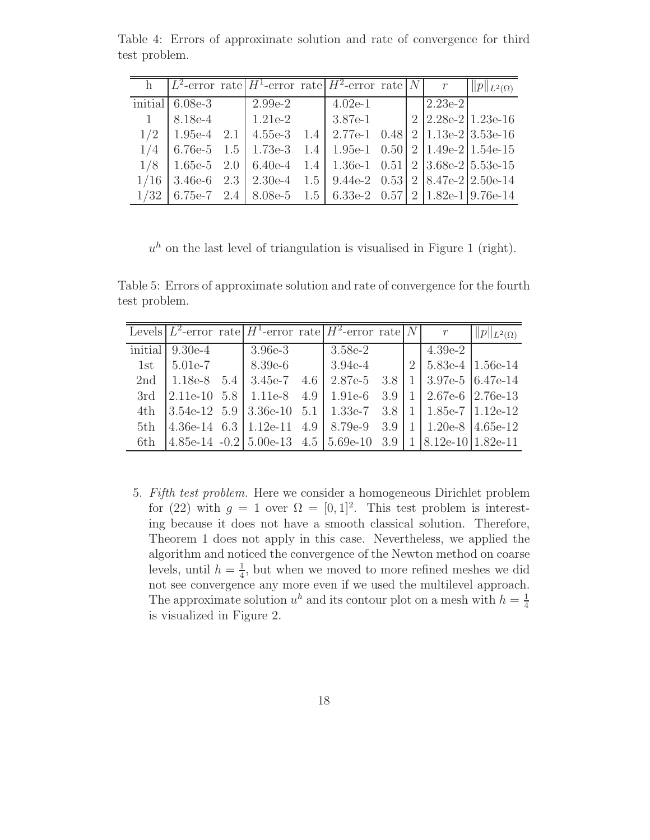|              |                   |                             | h $L^2$ -error rate $H^1$ -error rate $H^2$ -error rate $N$                         |  |           | $  p  _{L^2(\Omega)}$        |
|--------------|-------------------|-----------------------------|-------------------------------------------------------------------------------------|--|-----------|------------------------------|
|              | initial $6.08e-3$ | $2.99e-2$                   | $4.02e-1$                                                                           |  | $2.23e-2$ |                              |
| $\mathbf{1}$ | $8.18e-4$         | $1.21e-2$                   | $3.87e-1$                                                                           |  |           | $2 \frac{2.28e-2}{1.23e-16}$ |
| 1/2          |                   | $1.95e-4$ 2.1 $4.55e-3$ 1.4 | 2.77e-1 $\,$ 0.48   2   1.13e-2   3.53e-16                                          |  |           |                              |
| 1/4          | $6.76e-5$ 1.5     | $1.73e-3$ 1.4               | 1.95e-1 0.50   2   1.49e-2   1.54e-15                                               |  |           |                              |
| 1/8          |                   |                             | $1.65e-5$ $2.0$   6.40e-4 $1.4$   1.36e-1 0.51   2   3.68e-2   5.53e-15             |  |           |                              |
| 1/16         |                   |                             | $3.46e-6$ $2.3$   $2.30e-4$ $1.5$   $9.44e-2$ $0.53$   $2$   $8.47e-2$   $2.50e-14$ |  |           |                              |
| 1/32         |                   |                             | 6.75e-7 2.4   8.08e-5 1.5   6.33e-2 0.57   2   1.82e-1   9.76e-14                   |  |           |                              |

Table 4: Errors of approximate solution and rate of convergence for third test problem.

 $u<sup>h</sup>$  on the last level of triangulation is visualised in Figure 1 (right).

Table 5: Errors of approximate solution and rate of convergence for the fourth test problem.

|     |                   | Levels $L^2$ -error rate $H^1$ -error rate $H^2$ -error rate $N$                                                                                                      |             |  | r                              | $  p  _{L^2(\Omega)}$ |
|-----|-------------------|-----------------------------------------------------------------------------------------------------------------------------------------------------------------------|-------------|--|--------------------------------|-----------------------|
|     | initial $9.30e-4$ | $3.96e-3$                                                                                                                                                             | $3.58e-2$   |  | 4.39e-2                        |                       |
| 1st | $5.01e-7$         | $8.39e-6$                                                                                                                                                             | $3.94e-4$   |  | $2 \mid 5.83e-4 \mid 1.56e-14$ |                       |
| 2nd |                   | 1.18e-8 $5.4$   3.45e-7 $4.6$                                                                                                                                         | 2.87e-5 3.8 |  | $1 \mid 3.97e-5 \mid 6.47e-14$ |                       |
| 3rd |                   | $\vert 2.11e^{-10}$ 5.8 $\vert 1.11e^{-8}$ 4.9 $\vert 1.91e^{-6}$ 3.9                                                                                                 |             |  | $1 \mid 2.67e-6 \mid 2.76e-13$ |                       |
| 4th |                   |                                                                                                                                                                       |             |  |                                |                       |
| 5th |                   | $\vert 4.36e^{-14} \quad 6.3 \vert 1.12e^{-11} \quad 4.9 \vert 8.79e^{-9} \quad 3.9 \vert 1 \vert 1.20e^{-8} \vert 4.65e^{-12}$                                       |             |  |                                |                       |
| 6th |                   | $\left[4.85\text{e}-14\right] - 0.2\left[5.00\text{e}-13\right] - 4.5\left[5.69\text{e}-10\right] - 3.9\left[1\right] \left[8.12\text{e}-10\right] - 1.82\text{e}-11$ |             |  |                                |                       |

5. *Fifth test problem.* Here we consider a homogeneous Dirichlet problem for (22) with  $g = 1$  over  $\Omega = [0, 1]^2$ . This test problem is interesting because it does not have a smooth classical solution. Therefore, Theorem 1 does not apply in this case. Nevertheless, we applied the algorithm and noticed the convergence of the Newton method on coarse levels, until  $h=\frac{1}{4}$  $\frac{1}{4}$ , but when we moved to more refined meshes we did not see convergence any more even if we used the multilevel approach. The approximate solution  $u^h$  and its contour plot on a mesh with  $h = \frac{1}{4}$ 4 is visualized in Figure 2.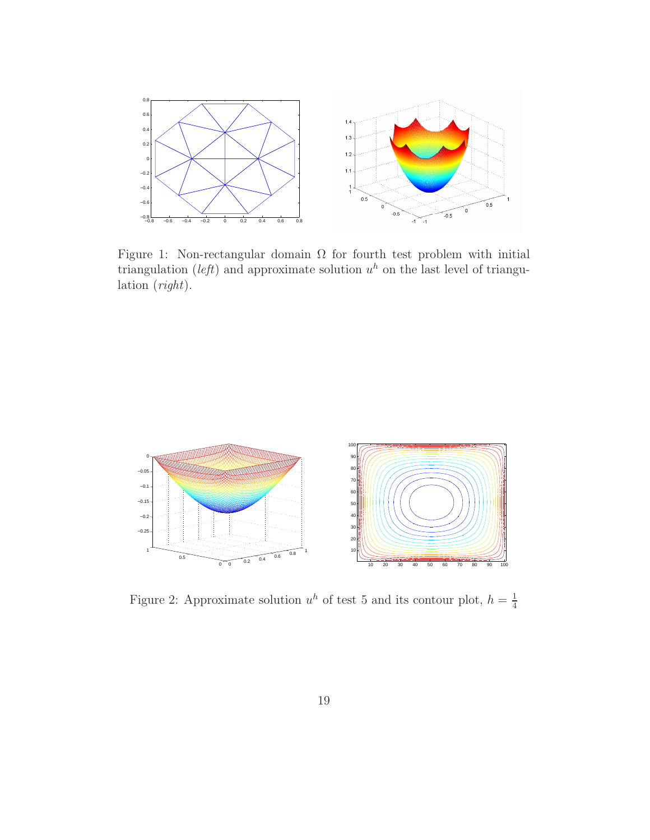

Figure 1: Non-rectangular domain  $\Omega$  for fourth test problem with initial triangulation (*left*) and approximate solution  $u^h$  on the last level of triangulation (*right*).



Figure 2: Approximate solution  $u^h$  of test 5 and its contour plot,  $h = \frac{1}{4}$ 4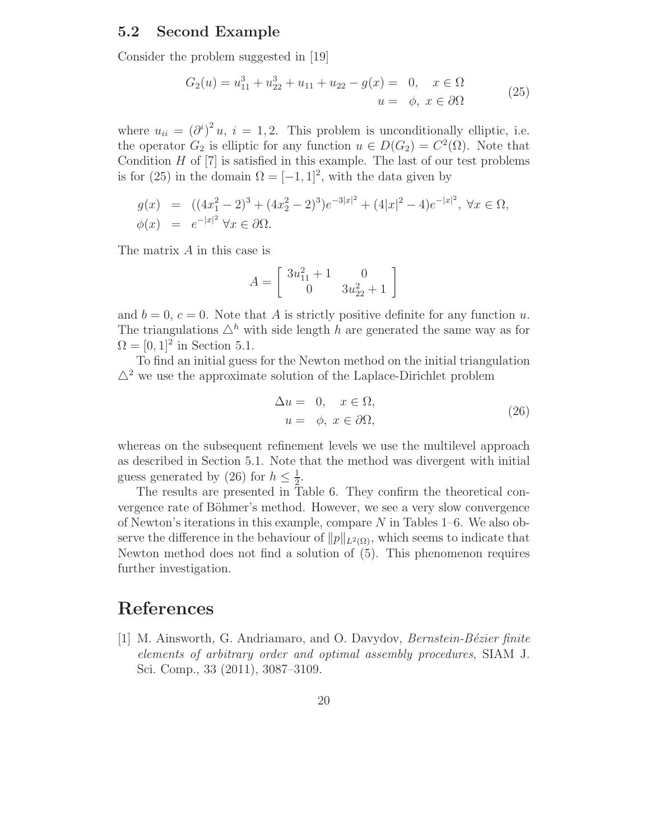### 5.2 Second Example

Consider the problem suggested in [19]

$$
G_2(u) = u_{11}^3 + u_{22}^3 + u_{11} + u_{22} - g(x) = 0, \quad x \in \Omega
$$
  

$$
u = \phi, \ x \in \partial\Omega
$$
 (25)

where  $u_{ii} = (\partial^i)^2 u$ ,  $i = 1, 2$ . This problem is unconditionally elliptic, i.e. the operator  $G_2$  is elliptic for any function  $u \in D(G_2) = C^2(\Omega)$ . Note that Condition  $H$  of  $[7]$  is satisfied in this example. The last of our test problems is for (25) in the domain  $\Omega = [-1, 1]^2$ , with the data given by

$$
g(x) = ((4x_1^2 - 2)^3 + (4x_2^2 - 2)^3)e^{-3|x|^2} + (4|x|^2 - 4)e^{-|x|^2}, \ \forall x \in \Omega, \phi(x) = e^{-|x|^2} \ \forall x \in \partial\Omega.
$$

The matrix  $A$  in this case is

$$
A = \left[ \begin{array}{cc} 3u_{11}^2 + 1 & 0 \\ 0 & 3u_{22}^2 + 1 \end{array} \right]
$$

and  $b = 0$ ,  $c = 0$ . Note that A is strictly positive definite for any function u. The triangulations  $\Delta^h$  with side length h are generated the same way as for  $\Omega = [0, 1]^2$  in Section 5.1.

To find an initial guess for the Newton method on the initial triangulation  $\Delta^2$  we use the approximate solution of the Laplace-Dirichlet problem

$$
\Delta u = 0, \quad x \in \Omega, \nu = \phi, \ x \in \partial\Omega,
$$
\n(26)

whereas on the subsequent refinement levels we use the multilevel approach as described in Section 5.1. Note that the method was divergent with initial guess generated by (26) for  $h \leq \frac{1}{2}$  $\frac{1}{2}$ .

The results are presented in Table 6. They confirm the theoretical convergence rate of Böhmer's method. However, we see a very slow convergence of Newton's iterations in this example, compare  $N$  in Tables 1–6. We also observe the difference in the behaviour of  $||p||_{L^2(\Omega)}$ , which seems to indicate that Newton method does not find a solution of (5). This phenomenon requires further investigation.

# References

[1] M. Ainsworth, G. Andriamaro, and O. Davydov, *Bernstein-B´ezier finite elements of arbitrary order and optimal assembly procedures*, SIAM J. Sci. Comp., 33 (2011), 3087–3109.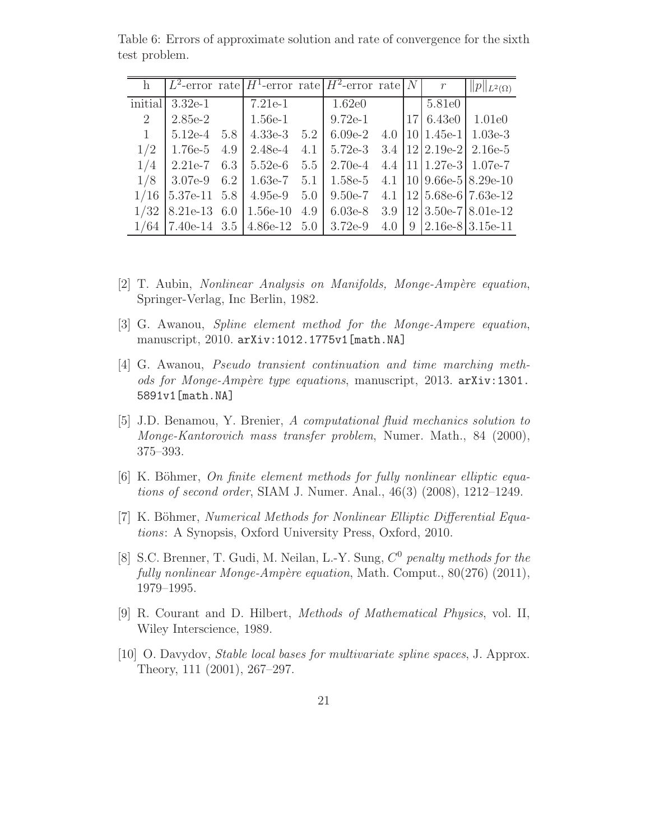|              |                    |     | $L^2$ -error rate $H^1$ -error rate $H^2$ -error rate |     |           |     | N    | $\mathcal{r}$  | $  p  _{L^2(\Omega)}$                |
|--------------|--------------------|-----|-------------------------------------------------------|-----|-----------|-----|------|----------------|--------------------------------------|
| initial      | $3.32e-1$          |     | $7.21e-1$                                             |     | 1.62e0    |     |      | 5.81e0         |                                      |
| 2            | $2.85e-2$          |     | $1.56e-1$                                             |     | $9.72e-1$ |     | 17 L | 6.43e0         | 1.01e0                               |
| $\mathbf{1}$ | $5.12e-4$          | 5.8 | $4.33e-3$                                             | 5.2 | $6.09e-2$ | 4.0 |      | $ 10 1.45e-1 $ | $1.03e-3$                            |
| 1/2          | $1.76e-5$          | 4.9 | $2.48e-4$                                             | 4.1 | $5.72e-3$ |     |      |                | $3.4$   $12$   $2.19e-2$   $2.16e-5$ |
| 1/4          | $2.21e-7$          | 6.3 | $5.52e-6$                                             | 5.5 | $2.70e-4$ |     |      |                | 4.4 $ 11 1.27e-3 1.07e-7$            |
| 1/8          | 3.07e-9            | 6.2 | $1.63e-7$                                             | 5.1 | 1.58e-5   |     |      |                | 4.1 $ 10 9.66e-5 8.29e-10$           |
| 1/16         | 5.37e-11 5.8       |     | $4.95e-9$                                             | 5.0 | $9.50e-7$ | 4.1 |      |                | $12 5.68e-6 7.63e-12$                |
| 1/32         | $8.21e-13$ 6.0     |     | $1.56e-10$                                            | 4.9 | $6.03e-8$ | 3.9 |      |                | $12 3.50e-7 8.01e-12$                |
| 1/64         | $ 7.40e-14 \t3.5 $ |     | $4.86e-12$ 5.0                                        |     | $3.72e-9$ | 4.0 | 9    |                | $2.16e-8$ 3.15e-11                   |

Table 6: Errors of approximate solution and rate of convergence for the sixth test problem.

- [2] T. Aubin, *Nonlinear Analysis on Manifolds, Monge-Amp`ere equation*, Springer-Verlag, Inc Berlin, 1982.
- [3] G. Awanou, *Spline element method for the Monge-Ampere equation*, manuscript, 2010. arXiv:1012.1775v1[math.NA]
- [4] G. Awanou, *Pseudo transient continuation and time marching methods for Monge-Amp`ere type equations*, manuscript, 2013. arXiv:1301. 5891v1[math.NA]
- [5] J.D. Benamou, Y. Brenier, *A computational fluid mechanics solution to Monge-Kantorovich mass transfer problem*, Numer. Math., 84 (2000), 375–393.
- [6] K. Böhmer, *On finite element methods for fully nonlinear elliptic equations of second order*, SIAM J. Numer. Anal., 46(3) (2008), 1212–1249.
- [7] K. Böhmer, *Numerical Methods for Nonlinear Elliptic Differential Equations*: A Synopsis, Oxford University Press, Oxford, 2010.
- [8] S.C. Brenner, T. Gudi, M. Neilan, L.-Y. Sung, C <sup>0</sup> *penalty methods for the fully nonlinear Monge-Amp`ere equation*, Math. Comput., 80(276) (2011), 1979–1995.
- [9] R. Courant and D. Hilbert, *Methods of Mathematical Physics*, vol. II, Wiley Interscience, 1989.
- [10] O. Davydov, *Stable local bases for multivariate spline spaces*, J. Approx. Theory, 111 (2001), 267–297.